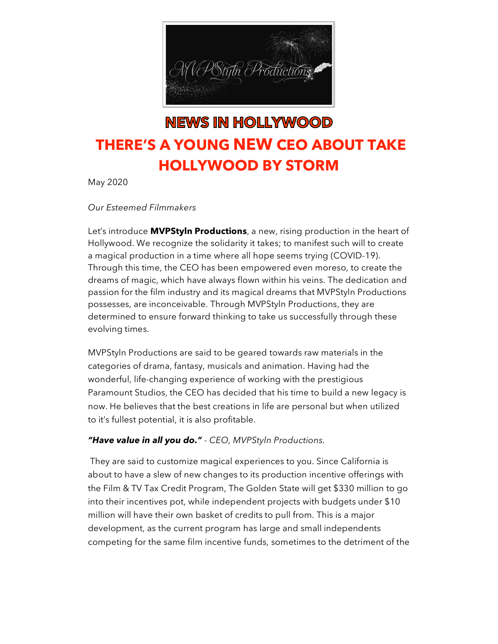

## **NEWS IN HOLLYWOOD THERE'S A YOUNG NEW CEO ABOUT TAKE HOLLYWOOD BY STORM**

May 2020

## *Our Esteemed Filmmakers*

Let's introduce **MVPStyln Productions**, a new, rising production in the heart of Hollywood. We recognize the solidarity it takes; to manifest such will to create a magical production in a time where all hope seems trying (COVID-19). Through this time, the CEO has been empowered even moreso, to create the dreams of magic, which have always flown within his veins. The dedication and passion for the film industry and its magical dreams that MVPStyln Productions possesses, are inconceivable. Through MVPStyln Productions, they are determined to ensure forward thinking to take us successfully through these evolving times.

MVPStyln Productions are said to be geared towards raw materials in the categories of drama, fantasy, musicals and animation. Having had the wonderful, life-changing experience of working with the prestigious Paramount Studios, the CEO has decided that his time to build a new legacy is now. He believes that the best creations in life are personal but when utilized to it's fullest potential, it is also profitable.

## *"Have value in all you do." - CEO, MVPStyln Productions.*

They are said to customize magical experiences to you. Since California is about to have a slew of new changes to its production incentive offerings with the Film & TV Tax Credit Program, The Golden State will get \$330 million to go into their incentives pot, while independent projects with budgets under \$10 million will have their own basket of credits to pull from. This is a major development, as the current program has large and small independents competing for the same film incentive funds, sometimes to the detriment of the